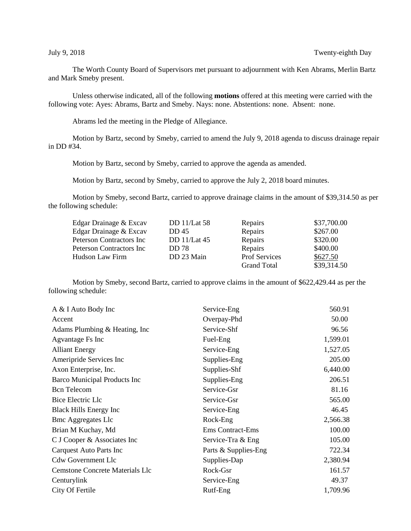The Worth County Board of Supervisors met pursuant to adjournment with Ken Abrams, Merlin Bartz and Mark Smeby present.

Unless otherwise indicated, all of the following **motions** offered at this meeting were carried with the following vote: Ayes: Abrams, Bartz and Smeby. Nays: none. Abstentions: none. Absent: none.

Abrams led the meeting in the Pledge of Allegiance.

Motion by Bartz, second by Smeby, carried to amend the July 9, 2018 agenda to discuss drainage repair in DD #34.

Motion by Bartz, second by Smeby, carried to approve the agenda as amended.

Motion by Bartz, second by Smeby, carried to approve the July 2, 2018 board minutes.

Motion by Smeby, second Bartz, carried to approve drainage claims in the amount of \$39,314.50 as per the following schedule:

| Edgar Drainage & Excav    | <b>DD</b> 11/Lat 58 | Repairs              | \$37,700.00 |
|---------------------------|---------------------|----------------------|-------------|
| Edgar Drainage & Excav    | DD 45               | Repairs              | \$267.00    |
| Peterson Contractors Inc  | DD 11/Lat 45        | Repairs              | \$320.00    |
| Peterson Contractors Inc. | <b>DD</b> 78        | Repairs              | \$400.00    |
| Hudson Law Firm           | DD 23 Main          | <b>Prof Services</b> | \$627.50    |
|                           |                     | <b>Grand Total</b>   | \$39,314.50 |

Motion by Smeby, second Bartz, carried to approve claims in the amount of \$622,429.44 as per the following schedule:

| A & I Auto Body Inc                    | Service-Eng             | 560.91   |
|----------------------------------------|-------------------------|----------|
| Accent                                 | Overpay-Phd             | 50.00    |
| Adams Plumbing & Heating, Inc.         | Service-Shf             | 96.56    |
| Agvantage Fs Inc                       | Fuel-Eng                | 1,599.01 |
| <b>Alliant Energy</b>                  | Service-Eng             | 1,527.05 |
| Ameripride Services Inc                | Supplies-Eng            | 205.00   |
| Axon Enterprise, Inc.                  | Supplies-Shf            | 6,440.00 |
| <b>Barco Municipal Products Inc</b>    | Supplies-Eng            | 206.51   |
| <b>Bcn</b> Telecom                     | Service-Gsr             | 81.16    |
| Bice Electric Llc                      | Service-Gsr             | 565.00   |
| <b>Black Hills Energy Inc</b>          | Service-Eng             | 46.45    |
| <b>Bmc Aggregates Llc</b>              | Rock-Eng                | 2,566.38 |
| Brian M Kuchay, Md                     | <b>Ems Contract-Ems</b> | 100.00   |
| C J Cooper & Associates Inc            | Service-Tra & Eng       | 105.00   |
| Carquest Auto Parts Inc                | Parts & Supplies-Eng    | 722.34   |
| <b>Cdw Government Llc</b>              | Supplies-Dap            | 2,380.94 |
| <b>Cemstone Concrete Materials Llc</b> | Rock-Gsr                | 161.57   |
| Centurylink                            | Service-Eng             | 49.37    |
| City Of Fertile                        | Rutf-Eng                | 1,709.96 |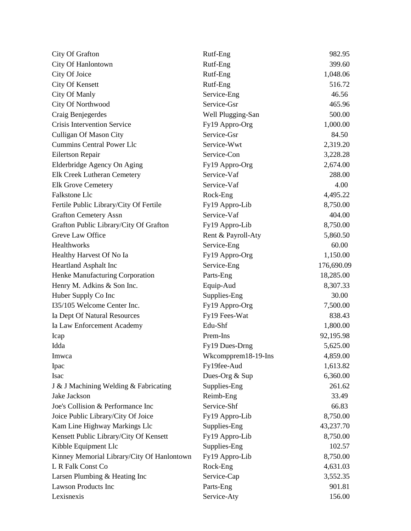| City Of Grafton                            | Rutf-Eng            | 982.95     |
|--------------------------------------------|---------------------|------------|
| City Of Hanlontown                         | Rutf-Eng            | 399.60     |
| City Of Joice                              | Rutf-Eng            | 1,048.06   |
| <b>City Of Kensett</b>                     | Rutf-Eng            | 516.72     |
| City Of Manly                              | Service-Eng         | 46.56      |
| City Of Northwood                          | Service-Gsr         | 465.96     |
| Craig Benjegerdes                          | Well Plugging-San   | 500.00     |
| <b>Crisis Intervention Service</b>         | Fy19 Appro-Org      | 1,000.00   |
| <b>Culligan Of Mason City</b>              | Service-Gsr         | 84.50      |
| <b>Cummins Central Power Llc</b>           | Service-Wwt         | 2,319.20   |
| Eilertson Repair                           | Service-Con         | 3,228.28   |
| Elderbridge Agency On Aging                | Fy19 Appro-Org      | 2,674.00   |
| Elk Creek Lutheran Cemetery                | Service-Vaf         | 288.00     |
| <b>Elk Grove Cemetery</b>                  | Service-Vaf         | 4.00       |
| Falkstone Llc                              | Rock-Eng            | 4,495.22   |
| Fertile Public Library/City Of Fertile     | Fy19 Appro-Lib      | 8,750.00   |
| <b>Grafton Cemetery Assn</b>               | Service-Vaf         | 404.00     |
| Grafton Public Library/City Of Grafton     | Fy19 Appro-Lib      | 8,750.00   |
| Greve Law Office                           | Rent & Payroll-Aty  | 5,860.50   |
| Healthworks                                | Service-Eng         | 60.00      |
| Healthy Harvest Of No Ia                   | Fy19 Appro-Org      | 1,150.00   |
| Heartland Asphalt Inc                      | Service-Eng         | 176,690.09 |
| Henke Manufacturing Corporation            | Parts-Eng           | 18,285.00  |
| Henry M. Adkins & Son Inc.                 | Equip-Aud           | 8,307.33   |
| Huber Supply Co Inc                        | Supplies-Eng        | 30.00      |
| I35/105 Welcome Center Inc.                | Fy19 Appro-Org      | 7,500.00   |
| Ia Dept Of Natural Resources               | Fy19 Fees-Wat       | 838.43     |
| Ia Law Enforcement Academy                 | Edu-Shf             | 1,800.00   |
| Icap                                       | Prem-Ins            | 92,195.98  |
| Idda                                       | Fy19 Dues-Drng      | 5,625.00   |
| Imwca                                      | Wkcompprem18-19-Ins | 4,859.00   |
| Ipac                                       | Fy19fee-Aud         | 1,613.82   |
| <b>Isac</b>                                | Dues-Org & Sup      | 6,360.00   |
| J & J Machining Welding & Fabricating      | Supplies-Eng        | 261.62     |
| Jake Jackson                               | Reimb-Eng           | 33.49      |
| Joe's Collision & Performance Inc          | Service-Shf         | 66.83      |
| Joice Public Library/City Of Joice         | Fy19 Appro-Lib      | 8,750.00   |
| Kam Line Highway Markings Llc              | Supplies-Eng        | 43,237.70  |
| Kensett Public Library/City Of Kensett     | Fy19 Appro-Lib      | 8,750.00   |
| Kibble Equipment Llc                       | Supplies-Eng        | 102.57     |
| Kinney Memorial Library/City Of Hanlontown | Fy19 Appro-Lib      | 8,750.00   |
| L R Falk Const Co                          | Rock-Eng            | 4,631.03   |
| Larsen Plumbing & Heating Inc              | Service-Cap         | 3,552.35   |
| <b>Lawson Products Inc</b>                 | Parts-Eng           | 901.81     |
| Lexisnexis                                 | Service-Aty         | 156.00     |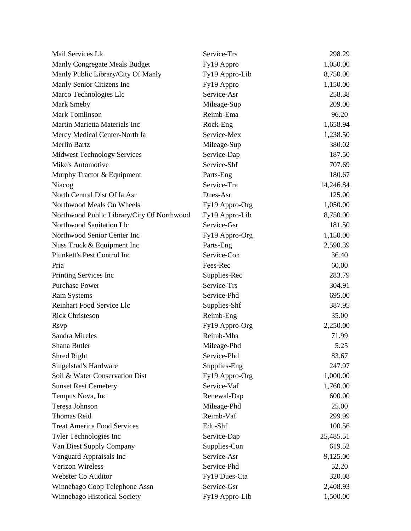| Mail Services Llc                          | Service-Trs    | 298.29    |
|--------------------------------------------|----------------|-----------|
| Manly Congregate Meals Budget              | Fy19 Appro     | 1,050.00  |
| Manly Public Library/City Of Manly         | Fy19 Appro-Lib | 8,750.00  |
| Manly Senior Citizens Inc                  | Fy19 Appro     | 1,150.00  |
| Marco Technologies Llc                     | Service-Asr    | 258.38    |
| Mark Smeby                                 | Mileage-Sup    | 209.00    |
| <b>Mark Tomlinson</b>                      | Reimb-Ema      | 96.20     |
| Martin Marietta Materials Inc              | Rock-Eng       | 1,658.94  |
| Mercy Medical Center-North Ia              | Service-Mex    | 1,238.50  |
| <b>Merlin Bartz</b>                        | Mileage-Sup    | 380.02    |
| <b>Midwest Technology Services</b>         | Service-Dap    | 187.50    |
| Mike's Automotive                          | Service-Shf    | 707.69    |
| Murphy Tractor & Equipment                 | Parts-Eng      | 180.67    |
| Niacog                                     | Service-Tra    | 14,246.84 |
| North Central Dist Of Ia Asr               | Dues-Asr       | 125.00    |
| Northwood Meals On Wheels                  | Fy19 Appro-Org | 1,050.00  |
| Northwood Public Library/City Of Northwood | Fy19 Appro-Lib | 8,750.00  |
| Northwood Sanitation Llc                   | Service-Gsr    | 181.50    |
| Northwood Senior Center Inc                | Fy19 Appro-Org | 1,150.00  |
| Nuss Truck & Equipment Inc                 | Parts-Eng      | 2,590.39  |
| Plunkett's Pest Control Inc                | Service-Con    | 36.40     |
| Pria                                       | Fees-Rec       | 60.00     |
| Printing Services Inc                      | Supplies-Rec   | 283.79    |
| <b>Purchase Power</b>                      | Service-Trs    | 304.91    |
| <b>Ram Systems</b>                         | Service-Phd    | 695.00    |
| Reinhart Food Service Llc                  | Supplies-Shf   | 387.95    |
| <b>Rick Christeson</b>                     | Reimb-Eng      | 35.00     |
| <b>Rsvp</b>                                | Fy19 Appro-Org | 2,250.00  |
| Sandra Mireles                             | Reimb-Mha      | 71.99     |
| Shana Butler                               | Mileage-Phd    | 5.25      |
| Shred Right                                | Service-Phd    | 83.67     |
| Singelstad's Hardware                      | Supplies-Eng   | 247.97    |
| Soil & Water Conservation Dist             | Fy19 Appro-Org | 1,000.00  |
| <b>Sunset Rest Cemetery</b>                | Service-Vaf    | 1,760.00  |
| Tempus Nova, Inc                           | Renewal-Dap    | 600.00    |
| Teresa Johnson                             | Mileage-Phd    | 25.00     |
| <b>Thomas Reid</b>                         | Reimb-Vaf      | 299.99    |
| <b>Treat America Food Services</b>         | Edu-Shf        | 100.56    |
| Tyler Technologies Inc                     | Service-Dap    | 25,485.51 |
| Van Diest Supply Company                   | Supplies-Con   | 619.52    |
| Vanguard Appraisals Inc                    | Service-Asr    | 9,125.00  |
| <b>Verizon Wireless</b>                    | Service-Phd    | 52.20     |
| Webster Co Auditor                         | Fy19 Dues-Cta  | 320.08    |
| Winnebago Coop Telephone Assn              | Service-Gsr    | 2,408.93  |
| Winnebago Historical Society               | Fy19 Appro-Lib | 1,500.00  |